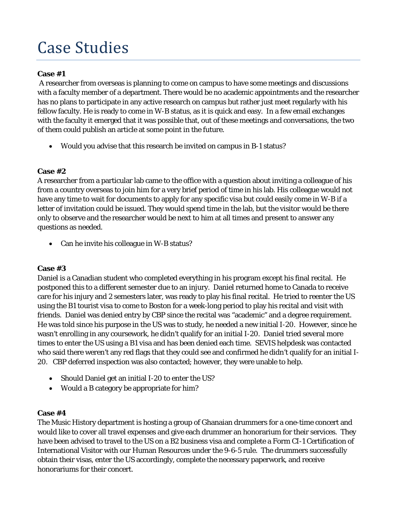# Case Studies

## **Case #1**

A researcher from overseas is planning to come on campus to have some meetings and discussions with a faculty member of a department. There would be no academic appointments and the researcher has no plans to participate in any active research on campus but rather just meet regularly with his fellow faculty. He is ready to come in W-B status, as it is quick and easy. In a few email exchanges with the faculty it emerged that it was possible that, out of these meetings and conversations, the two of them could publish an article at some point in the future.

• Would you advise that this research be invited on campus in B-1 status?

#### **Case #2**

A researcher from a particular lab came to the office with a question about inviting a colleague of his from a country overseas to join him for a very brief period of time in his lab. His colleague would not have any time to wait for documents to apply for any specific visa but could easily come in W-B if a letter of invitation could be issued. They would spend time in the lab, but the visitor would be there only to observe and the researcher would be next to him at all times and present to answer any questions as needed.

• Can he invite his colleague in W-B status?

#### **Case #3**

Daniel is a Canadian student who completed everything in his program except his final recital. He postponed this to a different semester due to an injury. Daniel returned home to Canada to receive care for his injury and 2 semesters later, was ready to play his final recital. He tried to reenter the US using the B1 tourist visa to come to Boston for a week-long period to play his recital and visit with friends. Daniel was denied entry by CBP since the recital was "academic" and a degree requirement. He was told since his purpose in the US was to study, he needed a new initial I-20. However, since he wasn't enrolling in any coursework, he didn't qualify for an initial I-20. Daniel tried several more times to enter the US using a B1 visa and has been denied each time. SEVIS helpdesk was contacted who said there weren't any red flags that they could see and confirmed he didn't qualify for an initial I-20. CBP deferred inspection was also contacted; however, they were unable to help.

- Should Daniel get an initial I-20 to enter the US?
- Would a B category be appropriate for him?

#### **Case #4**

The Music History department is hosting a group of Ghanaian drummers for a one-time concert and would like to cover all travel expenses and give each drummer an honorarium for their services. They have been advised to travel to the US on a B2 business visa and complete a Form CI-1 Certification of International Visitor with our Human Resources under the 9-6-5 rule. The drummers successfully obtain their visas, enter the US accordingly, complete the necessary paperwork, and receive honorariums for their concert.